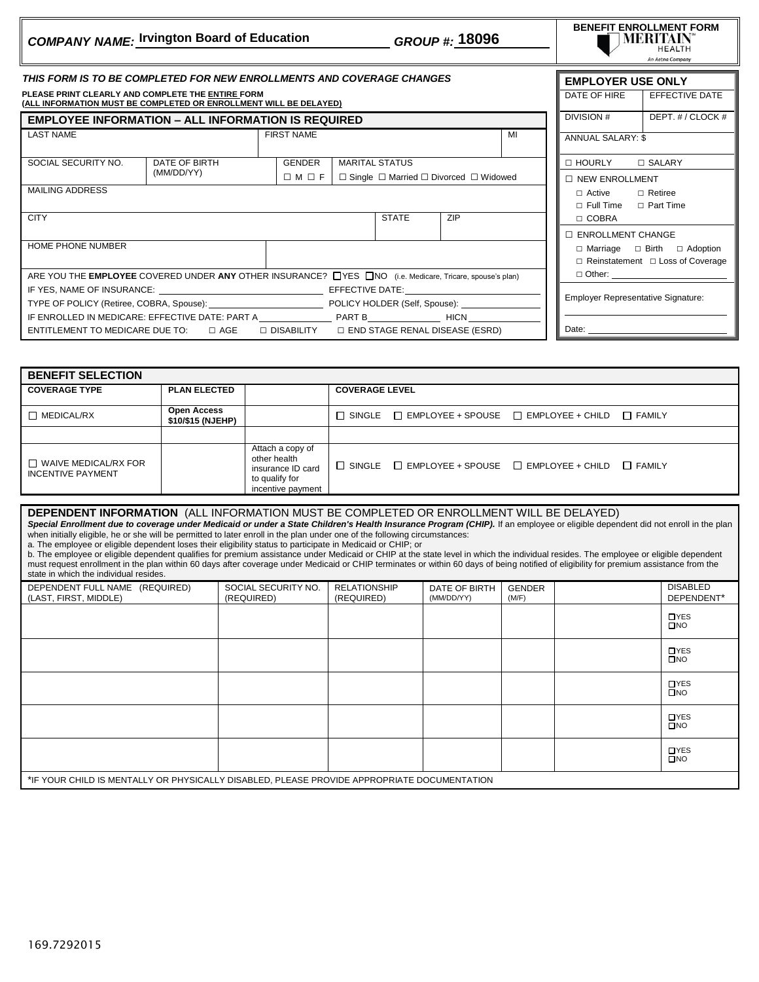|                                                                                                                                 | <b>COMPANY NAME: Irvington Board of Education</b>         |                                                                                |                       | GROUP #: 18096           |                                                                      |  |                                                                               | <b>BENEFIT ENROLLMENT FORM</b><br>MERITAIN<br><b>HEALTH</b><br>An Aetna Company |  |
|---------------------------------------------------------------------------------------------------------------------------------|-----------------------------------------------------------|--------------------------------------------------------------------------------|-----------------------|--------------------------|----------------------------------------------------------------------|--|-------------------------------------------------------------------------------|---------------------------------------------------------------------------------|--|
| THIS FORM IS TO BE COMPLETED FOR NEW ENROLLMENTS AND COVERAGE CHANGES                                                           |                                                           |                                                                                |                       |                          |                                                                      |  | <b>EMPLOYER USE ONLY</b>                                                      |                                                                                 |  |
| PLEASE PRINT CLEARLY AND COMPLETE THE ENTIRE FORM<br>(ALL INFORMATION MUST BE COMPLETED OR ENROLLMENT WILL BE DELAYED)          |                                                           |                                                                                |                       |                          |                                                                      |  | DATE OF HIRE                                                                  | <b>EFFECTIVE DATE</b>                                                           |  |
|                                                                                                                                 | <b>EMPLOYEE INFORMATION – ALL INFORMATION IS REQUIRED</b> |                                                                                |                       |                          |                                                                      |  | DIVISION #                                                                    | DEPT. # / CLOCK #                                                               |  |
| <b>LAST NAME</b>                                                                                                                | <b>FIRST NAME</b><br>MI                                   |                                                                                |                       | <b>ANNUAL SALARY: \$</b> |                                                                      |  |                                                                               |                                                                                 |  |
| SOCIAL SECURITY NO.                                                                                                             | DATE OF BIRTH                                             | <b>GENDER</b>                                                                  | <b>MARITAL STATUS</b> |                          |                                                                      |  | $\Box$ SALARY<br>□ HOURLY                                                     |                                                                                 |  |
|                                                                                                                                 | (MM/DD/YY)                                                | $\Box M \Box F$<br>$\Box$ Single $\Box$ Married $\Box$ Divorced $\Box$ Widowed |                       |                          | <b>D NEW ENROLLMENT</b>                                              |  |                                                                               |                                                                                 |  |
| <b>MAILING ADDRESS</b>                                                                                                          |                                                           |                                                                                |                       |                          | $\Box$ Active<br>$\Box$ Retiree<br>$\Box$ Full Time $\Box$ Part Time |  |                                                                               |                                                                                 |  |
| <b>CITY</b>                                                                                                                     |                                                           |                                                                                |                       | <b>STATE</b>             | <b>ZIP</b>                                                           |  | $\Box$ COBRA                                                                  |                                                                                 |  |
|                                                                                                                                 |                                                           |                                                                                |                       |                          |                                                                      |  | <b>ENROLLMENT CHANGE</b>                                                      |                                                                                 |  |
| HOME PHONE NUMBER                                                                                                               |                                                           |                                                                                |                       |                          |                                                                      |  | □ Marriage □ Birth □ Adoption<br>$\Box$ Reinstatement $\Box$ Loss of Coverage |                                                                                 |  |
| $\Box$ Other:<br>ARE YOU THE EMPLOYEE COVERED UNDER ANY OTHER INSURANCE? <b>NES</b> AND (i.e. Medicare, Tricare, spouse's plan) |                                                           |                                                                                |                       |                          |                                                                      |  |                                                                               |                                                                                 |  |
| TYPE OF POLICY (Retiree, COBRA, Spouse): POLICY HOLDER (Self, Spouse): VERENT AND THE OF POLICY IMPLEMENT AND                   |                                                           |                                                                                |                       |                          | <b>Employer Representative Signature:</b>                            |  |                                                                               |                                                                                 |  |
| ENTITLEMENT TO MEDICARE DUE TO: $\Box$ AGE $\Box$ DISABILITY $\Box$ END STAGE RENAL DISEASE (ESRD)                              |                                                           |                                                                                |                       |                          | Date:                                                                |  |                                                                               |                                                                                 |  |

| <b>BENEFIT SELECTION</b>                                |                                         |                                                                                              |                       |                                                                              |  |               |
|---------------------------------------------------------|-----------------------------------------|----------------------------------------------------------------------------------------------|-----------------------|------------------------------------------------------------------------------|--|---------------|
| <b>COVERAGE TYPE</b>                                    | <b>PLAN ELECTED</b>                     |                                                                                              | <b>COVERAGE LEVEL</b> |                                                                              |  |               |
| $\Box$ MEDICAL/RX                                       | <b>Open Access</b><br>\$10/\$15 (NJEHP) |                                                                                              |                       | $\Box$ SINGLE $\Box$ EMPLOYEE + SPOUSE $\Box$ EMPLOYEE + CHILD $\Box$ FAMILY |  |               |
|                                                         |                                         |                                                                                              |                       |                                                                              |  |               |
| $\Box$ WAIVE MEDICAL/RX FOR<br><b>INCENTIVE PAYMENT</b> |                                         | Attach a copy of<br>other health<br>insurance ID card<br>to qualify for<br>incentive payment |                       | $\Box$ SINGLE $\Box$ EMPLOYEE + SPOUSE $\Box$ EMPLOYEE + CHILD               |  | $\Box$ FAMILY |

| <b>DEPENDENT INFORMATION</b> (ALL INFORMATION MUST BE COMPLETED OR ENROLLMENT WILL BE DELAYED)<br>Special Enrollment due to coverage under Medicaid or under a State Children's Health Insurance Program (CHIP). If an employee or eligible dependent did not enroll in the plan<br>when initially eligible, he or she will be permitted to later enroll in the plan under one of the following circumstances:<br>a. The employee or eligible dependent loses their eligibility status to participate in Medicaid or CHIP; or<br>b. The employee or eligible dependent qualifies for premium assistance under Medicaid or CHIP at the state level in which the individual resides. The employee or eligible dependent<br>must request enrollment in the plan within 60 days after coverage under Medicaid or CHIP terminates or within 60 days of being notified of eligibility for premium assistance from the<br>state in which the individual resides. |                                   |                                   |                             |                        |  |                               |
|-----------------------------------------------------------------------------------------------------------------------------------------------------------------------------------------------------------------------------------------------------------------------------------------------------------------------------------------------------------------------------------------------------------------------------------------------------------------------------------------------------------------------------------------------------------------------------------------------------------------------------------------------------------------------------------------------------------------------------------------------------------------------------------------------------------------------------------------------------------------------------------------------------------------------------------------------------------|-----------------------------------|-----------------------------------|-----------------------------|------------------------|--|-------------------------------|
| DEPENDENT FULL NAME (REQUIRED)<br>(LAST, FIRST, MIDDLE)                                                                                                                                                                                                                                                                                                                                                                                                                                                                                                                                                                                                                                                                                                                                                                                                                                                                                                   | SOCIAL SECURITY NO.<br>(REQUIRED) | <b>RELATIONSHIP</b><br>(REQUIRED) | DATE OF BIRTH<br>(MM/DD/YY) | <b>GENDER</b><br>(M/F) |  | <b>DISABLED</b><br>DEPENDENT* |
|                                                                                                                                                                                                                                                                                                                                                                                                                                                                                                                                                                                                                                                                                                                                                                                                                                                                                                                                                           |                                   |                                   |                             |                        |  | <b>OYES</b><br>$\square$ NO   |
|                                                                                                                                                                                                                                                                                                                                                                                                                                                                                                                                                                                                                                                                                                                                                                                                                                                                                                                                                           |                                   |                                   |                             |                        |  | <b>DYES</b><br>$\square$ NO   |
| <b>DYES</b><br>$\square$ NO                                                                                                                                                                                                                                                                                                                                                                                                                                                                                                                                                                                                                                                                                                                                                                                                                                                                                                                               |                                   |                                   |                             |                        |  |                               |
| <b>OYES</b><br>$\square$ NO                                                                                                                                                                                                                                                                                                                                                                                                                                                                                                                                                                                                                                                                                                                                                                                                                                                                                                                               |                                   |                                   |                             |                        |  |                               |
|                                                                                                                                                                                                                                                                                                                                                                                                                                                                                                                                                                                                                                                                                                                                                                                                                                                                                                                                                           |                                   |                                   |                             |                        |  | <b>OYES</b><br>$\square$ NO   |
| *IF YOUR CHILD IS MENTALLY OR PHYSICALLY DISABLED, PLEASE PROVIDE APPROPRIATE DOCUMENTATION                                                                                                                                                                                                                                                                                                                                                                                                                                                                                                                                                                                                                                                                                                                                                                                                                                                               |                                   |                                   |                             |                        |  |                               |